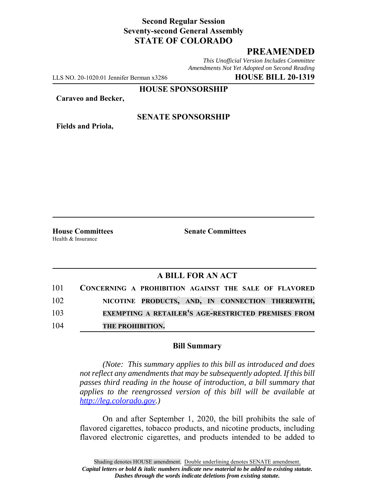## **Second Regular Session Seventy-second General Assembly STATE OF COLORADO**

# **PREAMENDED**

*This Unofficial Version Includes Committee Amendments Not Yet Adopted on Second Reading*

LLS NO. 20-1020.01 Jennifer Berman x3286 **HOUSE BILL 20-1319**

**HOUSE SPONSORSHIP**

**Caraveo and Becker,**

**Fields and Priola,**

#### **SENATE SPONSORSHIP**

Health & Insurance

**House Committees Senate Committees** 

### **A BILL FOR AN ACT**

|     | 101 CONCERNING A PROHIBITION AGAINST THE SALE OF FLAVORED  |
|-----|------------------------------------------------------------|
| 102 | NICOTINE PRODUCTS, AND, IN CONNECTION THEREWITH,           |
| 103 | <b>EXEMPTING A RETAILER'S AGE-RESTRICTED PREMISES FROM</b> |
| 104 | THE PROHIBITION.                                           |

#### **Bill Summary**

*(Note: This summary applies to this bill as introduced and does not reflect any amendments that may be subsequently adopted. If this bill passes third reading in the house of introduction, a bill summary that applies to the reengrossed version of this bill will be available at http://leg.colorado.gov.)*

On and after September 1, 2020, the bill prohibits the sale of flavored cigarettes, tobacco products, and nicotine products, including flavored electronic cigarettes, and products intended to be added to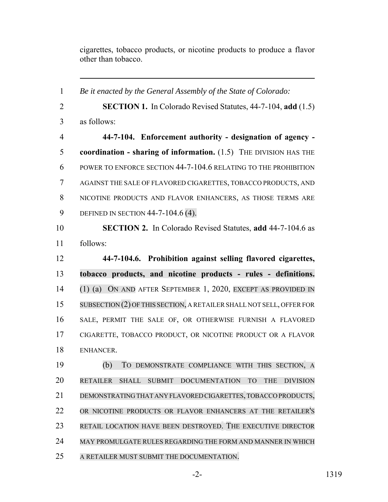cigarettes, tobacco products, or nicotine products to produce a flavor other than tobacco.

 *Be it enacted by the General Assembly of the State of Colorado:* **SECTION 1.** In Colorado Revised Statutes, 44-7-104, **add** (1.5) as follows: **44-7-104. Enforcement authority - designation of agency - coordination - sharing of information.** (1.5) THE DIVISION HAS THE POWER TO ENFORCE SECTION 44-7-104.6 RELATING TO THE PROHIBITION AGAINST THE SALE OF FLAVORED CIGARETTES, TOBACCO PRODUCTS, AND NICOTINE PRODUCTS AND FLAVOR ENHANCERS, AS THOSE TERMS ARE 9 DEFINED IN SECTION 44-7-104.6 (4). **SECTION 2.** In Colorado Revised Statutes, **add** 44-7-104.6 as follows: **44-7-104.6. Prohibition against selling flavored cigarettes, tobacco products, and nicotine products - rules - definitions.** (1) (a) ON AND AFTER SEPTEMBER 1, 2020, EXCEPT AS PROVIDED IN SUBSECTION (2) OF THIS SECTION, A RETAILER SHALL NOT SELL, OFFER FOR SALE, PERMIT THE SALE OF, OR OTHERWISE FURNISH A FLAVORED CIGARETTE, TOBACCO PRODUCT, OR NICOTINE PRODUCT OR A FLAVOR ENHANCER. (b) TO DEMONSTRATE COMPLIANCE WITH THIS SECTION, A RETAILER SHALL SUBMIT DOCUMENTATION TO THE DIVISION DEMONSTRATING THAT ANY FLAVORED CIGARETTES, TOBACCO PRODUCTS, OR NICOTINE PRODUCTS OR FLAVOR ENHANCERS AT THE RETAILER'S RETAIL LOCATION HAVE BEEN DESTROYED. THE EXECUTIVE DIRECTOR MAY PROMULGATE RULES REGARDING THE FORM AND MANNER IN WHICH A RETAILER MUST SUBMIT THE DOCUMENTATION.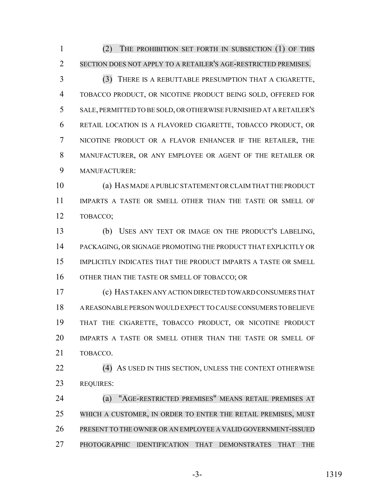(2) THE PROHIBITION SET FORTH IN SUBSECTION (1) OF THIS SECTION DOES NOT APPLY TO A RETAILER'S AGE-RESTRICTED PREMISES.

 (3) THERE IS A REBUTTABLE PRESUMPTION THAT A CIGARETTE, TOBACCO PRODUCT, OR NICOTINE PRODUCT BEING SOLD, OFFERED FOR SALE, PERMITTED TO BE SOLD, OR OTHERWISE FURNISHED AT A RETAILER'S RETAIL LOCATION IS A FLAVORED CIGARETTE, TOBACCO PRODUCT, OR NICOTINE PRODUCT OR A FLAVOR ENHANCER IF THE RETAILER, THE MANUFACTURER, OR ANY EMPLOYEE OR AGENT OF THE RETAILER OR MANUFACTURER:

 (a) HAS MADE A PUBLIC STATEMENT OR CLAIM THAT THE PRODUCT IMPARTS A TASTE OR SMELL OTHER THAN THE TASTE OR SMELL OF TOBACCO;

 (b) USES ANY TEXT OR IMAGE ON THE PRODUCT'S LABELING, PACKAGING, OR SIGNAGE PROMOTING THE PRODUCT THAT EXPLICITLY OR IMPLICITLY INDICATES THAT THE PRODUCT IMPARTS A TASTE OR SMELL OTHER THAN THE TASTE OR SMELL OF TOBACCO; OR

 (c) HAS TAKEN ANY ACTION DIRECTED TOWARD CONSUMERS THAT A REASONABLE PERSON WOULD EXPECT TO CAUSE CONSUMERS TO BELIEVE THAT THE CIGARETTE, TOBACCO PRODUCT, OR NICOTINE PRODUCT IMPARTS A TASTE OR SMELL OTHER THAN THE TASTE OR SMELL OF TOBACCO.

22 (4) AS USED IN THIS SECTION, UNLESS THE CONTEXT OTHERWISE REQUIRES:

 (a) "AGE-RESTRICTED PREMISES" MEANS RETAIL PREMISES AT WHICH A CUSTOMER, IN ORDER TO ENTER THE RETAIL PREMISES, MUST PRESENT TO THE OWNER OR AN EMPLOYEE A VALID GOVERNMENT-ISSUED PHOTOGRAPHIC IDENTIFICATION THAT DEMONSTRATES THAT THE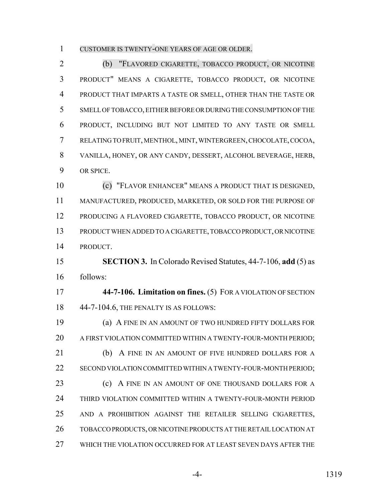CUSTOMER IS TWENTY-ONE YEARS OF AGE OR OLDER.

 (b) "FLAVORED CIGARETTE, TOBACCO PRODUCT, OR NICOTINE PRODUCT" MEANS A CIGARETTE, TOBACCO PRODUCT, OR NICOTINE PRODUCT THAT IMPARTS A TASTE OR SMELL, OTHER THAN THE TASTE OR SMELL OF TOBACCO, EITHER BEFORE OR DURING THE CONSUMPTION OF THE PRODUCT, INCLUDING BUT NOT LIMITED TO ANY TASTE OR SMELL RELATING TO FRUIT, MENTHOL, MINT, WINTERGREEN, CHOCOLATE, COCOA, VANILLA, HONEY, OR ANY CANDY, DESSERT, ALCOHOL BEVERAGE, HERB, OR SPICE.

 (c) "FLAVOR ENHANCER" MEANS A PRODUCT THAT IS DESIGNED, MANUFACTURED, PRODUCED, MARKETED, OR SOLD FOR THE PURPOSE OF PRODUCING A FLAVORED CIGARETTE, TOBACCO PRODUCT, OR NICOTINE PRODUCT WHEN ADDED TO A CIGARETTE, TOBACCO PRODUCT, OR NICOTINE PRODUCT.

 **SECTION 3.** In Colorado Revised Statutes, 44-7-106, **add** (5) as follows:

 **44-7-106. Limitation on fines.** (5) FOR A VIOLATION OF SECTION 44-7-104.6, THE PENALTY IS AS FOLLOWS:

 (a) A FINE IN AN AMOUNT OF TWO HUNDRED FIFTY DOLLARS FOR A FIRST VIOLATION COMMITTED WITHIN A TWENTY-FOUR-MONTH PERIOD; 21 (b) A FINE IN AN AMOUNT OF FIVE HUNDRED DOLLARS FOR A SECOND VIOLATION COMMITTED WITHIN A TWENTY-FOUR-MONTH PERIOD; **(c)** A FINE IN AN AMOUNT OF ONE THOUSAND DOLLARS FOR A THIRD VIOLATION COMMITTED WITHIN A TWENTY-FOUR-MONTH PERIOD AND A PROHIBITION AGAINST THE RETAILER SELLING CIGARETTES, TOBACCO PRODUCTS, OR NICOTINE PRODUCTS AT THE RETAIL LOCATION AT WHICH THE VIOLATION OCCURRED FOR AT LEAST SEVEN DAYS AFTER THE